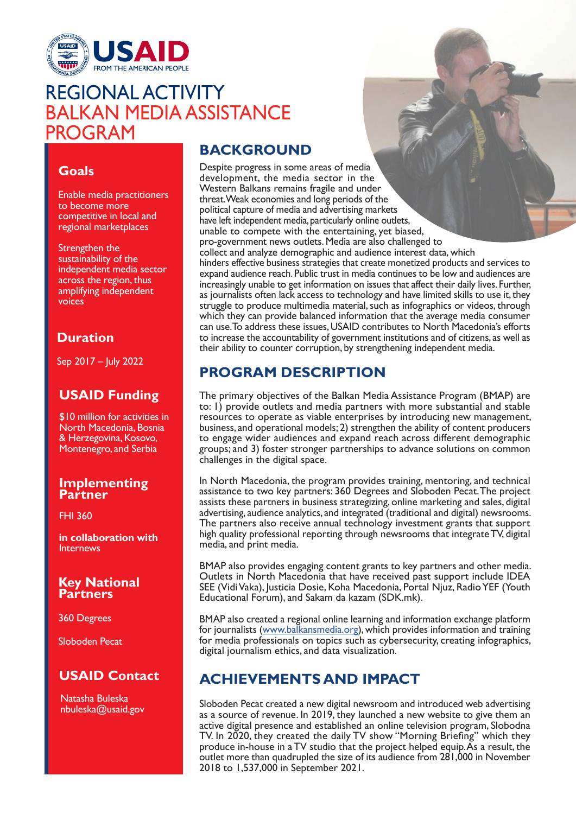

# REGIONAL ACTIVITY<br>BALKAN MEDIA ASSISTANCE PROGRAM

## **Goals**

Enable media practitioners to become more competitive in local and regional marketplaces

Strengthen the sustainability of the independent media sector across the region, thus amplifying independent voices

### **Duration**

Sep 2017 – July 2022

## **USAID Funding**

\$10 million for activities in North Macedonia, Bosnia & Herzegovina, Kosovo, Montenegro, and Serbia

#### **Implementing Partner**

FHI 360

**in collaboration with Internews** 

#### **Key National Partners**

360 Degrees

Sloboden Pecat

## **USAID Contact**

Natasha Buleska nbuleska@usaid.gov

# **BACKGROUND**

Despite progress in some areas of media development, the media sector in the Western Balkans remains fragile and under threat. Weak economies and long periods of the political capture of media and advertising markets have left independent media, particularly online outlets, unable to compete with the entertaining, yet biased, pro-government news outlets. Media are also challenged to collect and analyze demographic and audience interest data, which hinders effective business strategies that create monetized products and services to expand audience reach. Public trust in media continues to be low and audiences are increasingly unable to get information on issues that affect their daily lives. Further, as journalists often lack access to technology and have limited skills to use it, they struggle to produce multimedia material, such as infographics or videos, through which they can provide balanced information that the average media consumer can use. To address these issues, USAID contributes to North Macedonia's efforts to increase the accountability of government institutions and of citizens, as well as their ability to counter corruption, by strengthening independent media.

## **PROGRAM DESCRIPTION**

The primary objectives of the Balkan Media Assistance Program (BMAP) are to: 1) provide outlets and media partners with more substantial and stable resources to operate as viable enterprises by introducing new management, business, and operational models; 2) strengthen the ability of content producers to engage wider audiences and expand reach across different demographic groups; and 3) foster stronger partnerships to advance solutions on common challenges in the digital space.

In North Macedonia, the program provides training, mentoring, and technical assistance to two key partners: 360 Degrees and Sloboden Pecat. The project assists these partners in business strategizing, online marketing and sales, digital advertising, audience analytics, and integrated (traditional and digital) newsrooms. The partners also receive annual technology investment grants that support high quality professional reporting through newsrooms that integrate TV, digital media, and print media.

BMAP also provides engaging content grants to key partners and other media. Outlets in North Macedonia that have received past support include IDEA SEE (Vidi Vaka), Justicia Dosie, Koha Macedonia, Portal Njuz, Radio YEF (Youth Educational Forum), and Sakam da kazam (SDK.mk).

BMAP also created a regional online learning and information exchange platform for journalists (www.balkansmedia.org), which provides information and training for media professionals on topics such as cybersecurity, creating infographics, digital journalism ethics, and data visualization.

# **ACHIEVEMENTS AND IMPACT**

Sloboden Pecat created a new digital newsroom and introduced web advertising as a source of revenue. In 2019, they launched a new website to give them an active digital presence and established an online television program, Slobodna TV. In 2020, they created the daily TV show "Morning Briefing" which they produce in-house in a TV studio that the project helped equip. As a result, the outlet more than quadrupled the size of its audience from 281,000 in November 2018 to 1,537,000 in September 2021.